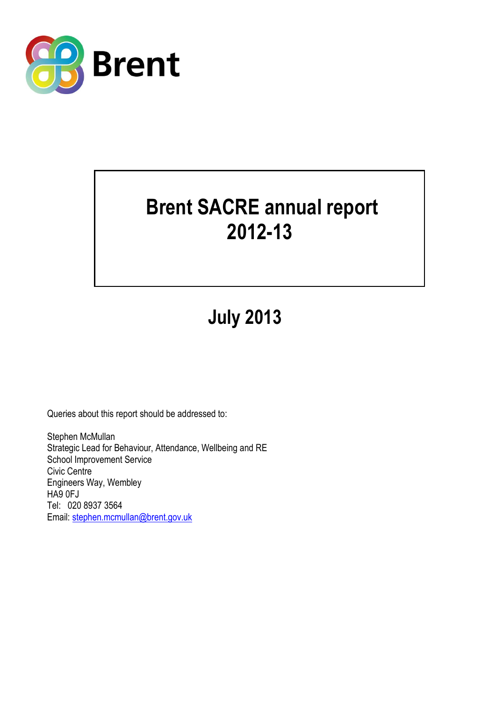

# **Brent SACRE annual report 2012-13**

# **July 2013**

Queries about this report should be addressed to:

Stephen McMullan Strategic Lead for Behaviour, Attendance, Wellbeing and RE School Improvement Service Civic Centre Engineers Way, Wembley HA9 0FJ Tel: 020 8937 3564 Email: [stephen.mcmullan@brent.gov.uk](mailto:stephen.mcmullan@brent.gov.uk)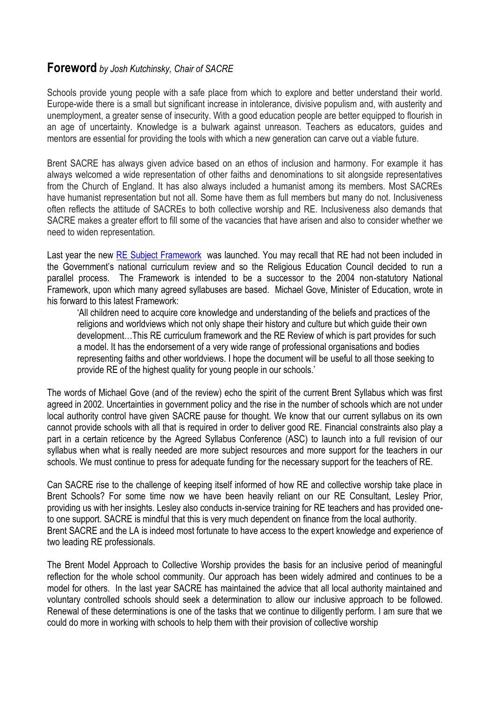# **Foreword** *by Josh Kutchinsky, Chair of SACRE*

Schools provide young people with a safe place from which to explore and better understand their world. Europe-wide there is a small but significant increase in intolerance, divisive populism and, with austerity and unemployment, a greater sense of insecurity. With a good education people are better equipped to flourish in an age of uncertainty. Knowledge is a bulwark against unreason. Teachers as educators, guides and mentors are essential for providing the tools with which a new generation can carve out a viable future.

Brent SACRE has always given advice based on an ethos of inclusion and harmony. For example it has always welcomed a wide representation of other faiths and denominations to sit alongside representatives from the Church of England. It has also always included a humanist among its members. Most SACREs have humanist representation but not all. Some have them as full members but many do not. Inclusiveness often reflects the attitude of SACREs to both collective worship and RE. Inclusiveness also demands that SACRE makes a greater effort to fill some of the vacancies that have arisen and also to consider whether we need to widen representation.

Last year the new [RE Subject Framework](http://resubjectreview.recouncil.org.uk/media/file/RE_Review.pdf) was launched. You may recall that RE had not been included in the Government's national curriculum review and so the Religious Education Council decided to run a parallel process. The Framework is intended to be a successor to the 2004 non-statutory National Framework, upon which many agreed syllabuses are based. Michael Gove, Minister of Education, wrote in his forward to this latest Framework:

'All children need to acquire core knowledge and understanding of the beliefs and practices of the religions and worldviews which not only shape their history and culture but which guide their own development…This RE curriculum framework and the RE Review of which is part provides for such a model. It has the endorsement of a very wide range of professional organisations and bodies representing faiths and other worldviews. I hope the document will be useful to all those seeking to provide RE of the highest quality for young people in our schools.'

The words of Michael Gove (and of the review) echo the spirit of the current Brent Syllabus which was first agreed in 2002. Uncertainties in government policy and the rise in the number of schools which are not under local authority control have given SACRE pause for thought. We know that our current syllabus on its own cannot provide schools with all that is required in order to deliver good RE. Financial constraints also play a part in a certain reticence by the Agreed Syllabus Conference (ASC) to launch into a full revision of our syllabus when what is really needed are more subject resources and more support for the teachers in our schools. We must continue to press for adequate funding for the necessary support for the teachers of RE.

Can SACRE rise to the challenge of keeping itself informed of how RE and collective worship take place in Brent Schools? For some time now we have been heavily reliant on our RE Consultant, Lesley Prior, providing us with her insights. Lesley also conducts in-service training for RE teachers and has provided oneto one support. SACRE is mindful that this is very much dependent on finance from the local authority. Brent SACRE and the LA is indeed most fortunate to have access to the expert knowledge and experience of two leading RE professionals.

The Brent Model Approach to Collective Worship provides the basis for an inclusive period of meaningful reflection for the whole school community. Our approach has been widely admired and continues to be a model for others. In the last year SACRE has maintained the advice that all local authority maintained and voluntary controlled schools should seek a determination to allow our inclusive approach to be followed. Renewal of these determinations is one of the tasks that we continue to diligently perform. I am sure that we could do more in working with schools to help them with their provision of collective worship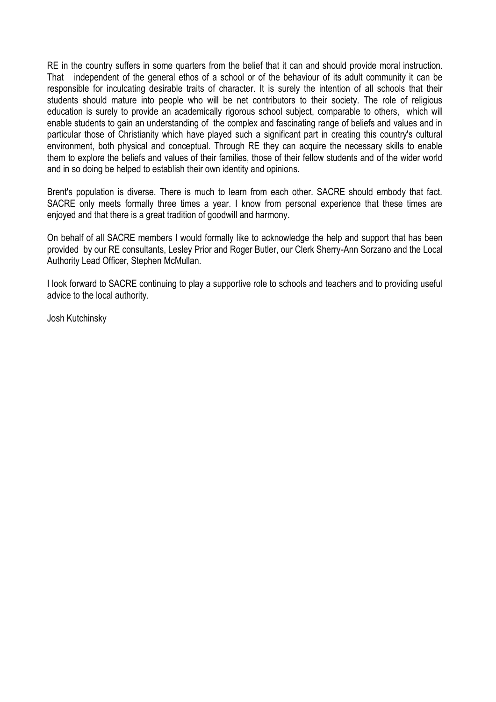RE in the country suffers in some quarters from the belief that it can and should provide moral instruction. That independent of the general ethos of a school or of the behaviour of its adult community it can be responsible for inculcating desirable traits of character. It is surely the intention of all schools that their students should mature into people who will be net contributors to their society. The role of religious education is surely to provide an academically rigorous school subject, comparable to others, which will enable students to gain an understanding of the complex and fascinating range of beliefs and values and in particular those of Christianity which have played such a significant part in creating this country's cultural environment, both physical and conceptual. Through RE they can acquire the necessary skills to enable them to explore the beliefs and values of their families, those of their fellow students and of the wider world and in so doing be helped to establish their own identity and opinions.

Brent's population is diverse. There is much to learn from each other. SACRE should embody that fact. SACRE only meets formally three times a year. I know from personal experience that these times are enjoyed and that there is a great tradition of goodwill and harmony.

On behalf of all SACRE members I would formally like to acknowledge the help and support that has been provided by our RE consultants, Lesley Prior and Roger Butler, our Clerk Sherry-Ann Sorzano and the Local Authority Lead Officer, Stephen McMullan.

I look forward to SACRE continuing to play a supportive role to schools and teachers and to providing useful advice to the local authority.

Josh Kutchinsky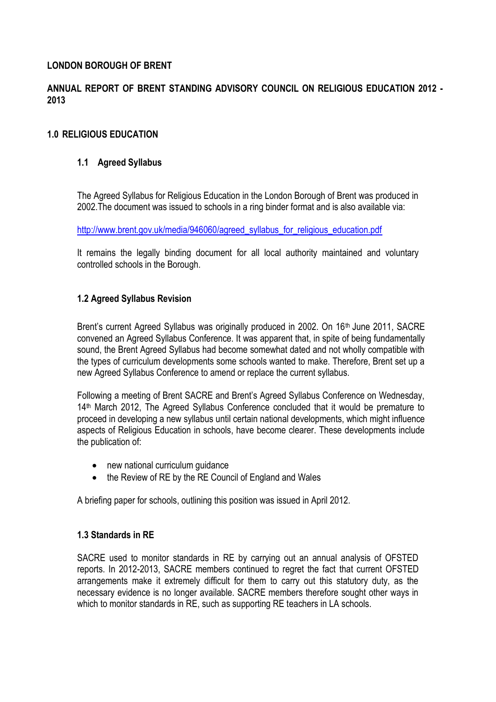#### **LONDON BOROUGH OF BRENT**

# **ANNUAL REPORT OF BRENT STANDING ADVISORY COUNCIL ON RELIGIOUS EDUCATION 2012 - 2013**

### **1.0 RELIGIOUS EDUCATION**

### **1.1 Agreed Syllabus**

The Agreed Syllabus for Religious Education in the London Borough of Brent was produced in 2002.The document was issued to schools in a ring binder format and is also available via:

[http://www.brent.gov.uk/media/946060/agreed\\_syllabus\\_for\\_religious\\_education.pdf](http://www.brent.gov.uk/media/946060/agreed_syllabus_for_religious_education.pdf)

It remains the legally binding document for all local authority maintained and voluntary controlled schools in the Borough.

## **1.2 Agreed Syllabus Revision**

Brent's current Agreed Syllabus was originally produced in 2002. On 16<sup>th</sup> June 2011, SACRE convened an Agreed Syllabus Conference. It was apparent that, in spite of being fundamentally sound, the Brent Agreed Syllabus had become somewhat dated and not wholly compatible with the types of curriculum developments some schools wanted to make. Therefore, Brent set up a new Agreed Syllabus Conference to amend or replace the current syllabus.

Following a meeting of Brent SACRE and Brent's Agreed Syllabus Conference on Wednesday, 14<sup>th</sup> March 2012, The Agreed Syllabus Conference concluded that it would be premature to proceed in developing a new syllabus until certain national developments, which might influence aspects of Religious Education in schools, have become clearer. These developments include the publication of:

- new national curriculum guidance
- the Review of RE by the RE Council of England and Wales

A briefing paper for schools, outlining this position was issued in April 2012.

#### **1.3 Standards in RE**

SACRE used to monitor standards in RE by carrying out an annual analysis of OFSTED reports. In 2012-2013, SACRE members continued to regret the fact that current OFSTED arrangements make it extremely difficult for them to carry out this statutory duty, as the necessary evidence is no longer available. SACRE members therefore sought other ways in which to monitor standards in RE, such as supporting RE teachers in LA schools.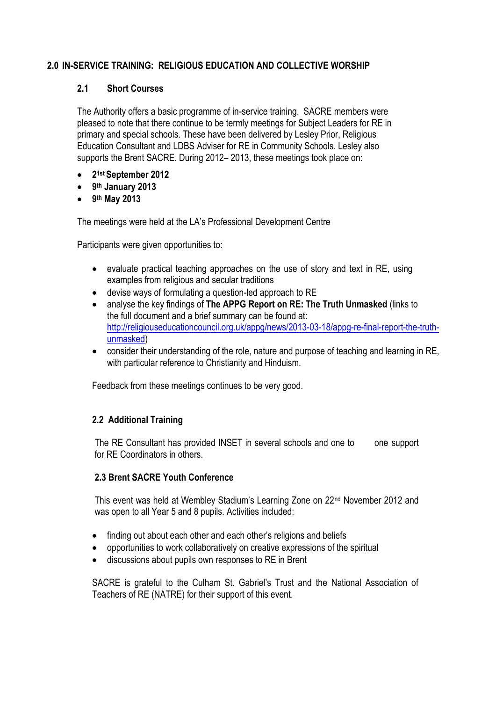# **2.0 IN-SERVICE TRAINING: RELIGIOUS EDUCATION AND COLLECTIVE WORSHIP**

## **2.1 Short Courses**

The Authority offers a basic programme of in-service training. SACRE members were pleased to note that there continue to be termly meetings for Subject Leaders for RE in primary and special schools. These have been delivered by Lesley Prior, Religious Education Consultant and LDBS Adviser for RE in Community Schools. Lesley also supports the Brent SACRE. During 2012– 2013, these meetings took place on:

- **2 1st September 2012**
- **9 th January 2013**
- **9 th May 2013**

The meetings were held at the LA's Professional Development Centre

Participants were given opportunities to:

- evaluate practical teaching approaches on the use of story and text in RE, using examples from religious and secular traditions
- devise ways of formulating a question-led approach to RE
- analyse the key findings of **The APPG Report on RE: The Truth Unmasked** (links to the full document and a brief summary can be found at: [http://religiouseducationcouncil.org.uk/appg/news/2013-03-18/appg-re-final-report-the-truth](http://religiouseducationcouncil.org.uk/appg/news/2013-03-18/appg-re-final-report-the-truth-unmasked)[unmasked\)](http://religiouseducationcouncil.org.uk/appg/news/2013-03-18/appg-re-final-report-the-truth-unmasked)
- consider their understanding of the role, nature and purpose of teaching and learning in RE, with particular reference to Christianity and Hinduism.

Feedback from these meetings continues to be very good.

# **2.2 Additional Training**

The RE Consultant has provided INSET in several schools and one to one support for RE Coordinators in others.

# **2.3 Brent SACRE Youth Conference**

This event was held at Wembley Stadium's Learning Zone on 22nd November 2012 and was open to all Year 5 and 8 pupils. Activities included:

- finding out about each other and each other's religions and beliefs
- opportunities to work collaboratively on creative expressions of the spiritual
- discussions about pupils own responses to RE in Brent

SACRE is grateful to the Culham St. Gabriel's Trust and the National Association of Teachers of RE (NATRE) for their support of this event.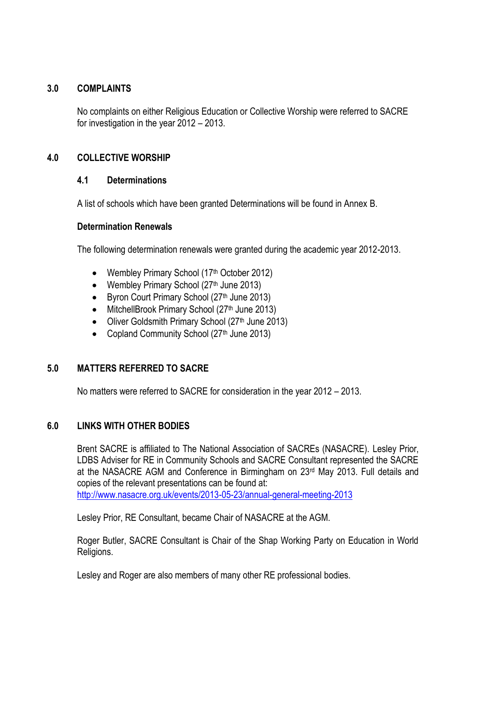### **3.0 COMPLAINTS**

No complaints on either Religious Education or Collective Worship were referred to SACRE for investigation in the year 2012 – 2013.

## **4.0 COLLECTIVE WORSHIP**

#### **4.1 Determinations**

A list of schools which have been granted Determinations will be found in Annex B.

#### **Determination Renewals**

The following determination renewals were granted during the academic year 2012-2013.

- Wembley Primary School (17<sup>th</sup> October 2012)
- Wembley Primary School (27<sup>th</sup> June 2013)
- Byron Court Primary School (27<sup>th</sup> June 2013)
- MitchellBrook Primary School (27<sup>th</sup> June 2013)
- Oliver Goldsmith Primary School (27<sup>th</sup> June 2013)
- Copland Community School (27th June 2013)

# **5.0 MATTERS REFERRED TO SACRE**

No matters were referred to SACRE for consideration in the year 2012 – 2013.

#### **6.0 LINKS WITH OTHER BODIES**

Brent SACRE is affiliated to The National Association of SACREs (NASACRE). Lesley Prior, LDBS Adviser for RE in Community Schools and SACRE Consultant represented the SACRE at the NASACRE AGM and Conference in Birmingham on 23rd May 2013. Full details and copies of the relevant presentations can be found at: <http://www.nasacre.org.uk/events/2013-05-23/annual-general-meeting-2013>

Lesley Prior, RE Consultant, became Chair of NASACRE at the AGM.

Roger Butler, SACRE Consultant is Chair of the Shap Working Party on Education in World Religions.

Lesley and Roger are also members of many other RE professional bodies.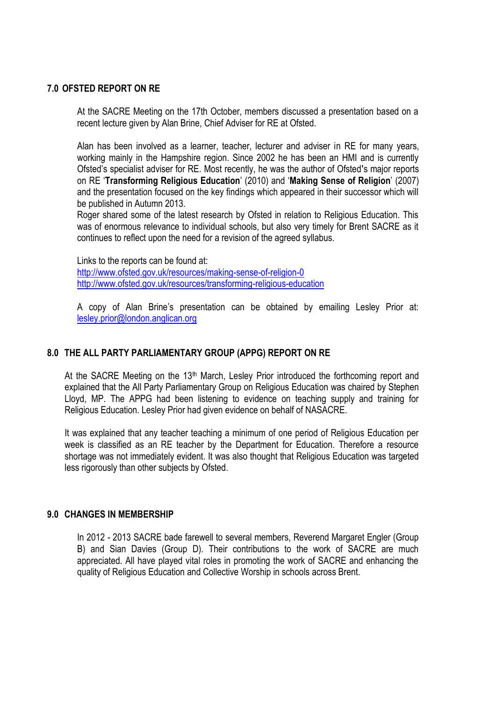#### **7.0 OFSTED REPORT ON RE**

At the SACRE Meeting on the 17th October, members discussed a presentation based on a recent lecture given by Alan Brine, Chief Adviser for RE at Ofsted.

Alan has been involved as a learner, teacher, lecturer and adviser in RE for many years, working mainly in the Hampshire region. Since 2002 he has been an HMI and is currently Ofsted's specialist adviser for RE. Most recently, he was the author of Ofstedʹs major reports on RE '**Transforming Religious Education**' (2010) and '**Making Sense of Religion**' (2007) and the presentation focused on the key findings which appeared in their successor which will be published in Autumn 2013.

Roger shared some of the latest research by Ofsted in relation to Religious Education. This was of enormous relevance to individual schools, but also very timely for Brent SACRE as it continues to reflect upon the need for a revision of the agreed syllabus.

Links to the reports can be found at: <http://www.ofsted.gov.uk/resources/making-sense-of-religion-0> <http://www.ofsted.gov.uk/resources/transforming-religious-education>

A copy of Alan Brine's presentation can be obtained by emailing Lesley Prior at: [lesley.prior@london.anglican.org](mailto:lesley.prior@london.anglican.org)

#### **8.0 THE ALL PARTY PARLIAMENTARY GROUP (APPG) REPORT ON RE**

At the SACRE Meeting on the 13<sup>th</sup> March, Lesley Prior introduced the forthcoming report and explained that the All Party Parliamentary Group on Religious Education was chaired by Stephen Lloyd, MP. The APPG had been listening to evidence on teaching supply and training for Religious Education. Lesley Prior had given evidence on behalf of NASACRE.

It was explained that any teacher teaching a minimum of one period of Religious Education per week is classified as an RE teacher by the Department for Education. Therefore a resource shortage was not immediately evident. It was also thought that Religious Education was targeted less rigorously than other subjects by Ofsted.

#### **9.0 CHANGES IN MEMBERSHIP**

In 2012 - 2013 SACRE bade farewell to several members, Reverend Margaret Engler (Group B) and Sian Davies (Group D). Their contributions to the work of SACRE are much appreciated. All have played vital roles in promoting the work of SACRE and enhancing the quality of Religious Education and Collective Worship in schools across Brent.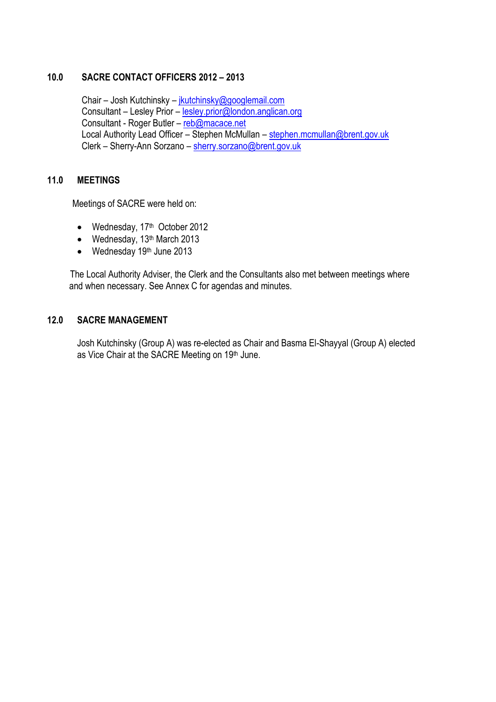#### **10.0 SACRE CONTACT OFFICERS 2012 – 2013**

 Chair – Josh Kutchinsky – [jkutchinsky@googlemail.com](mailto:jkutchinsky@googlemail.com) Consultant – Lesley Prior – [lesley.prior@london.anglican.org](mailto:lesley.prior@london.anglican.org) Consultant - Roger Butler – [reb@macace.net](mailto:reb@macace.net) Local Authority Lead Officer – Stephen McMullan – [stephen.mcmullan@brent.gov.uk](mailto:stephen.mcmullan@brent.gov.uk) Clerk – Sherry-Ann Sorzano – [sherry.sorzano@brent.gov.uk](mailto:sherry.sorzano@brent.gov.uk)

#### **11.0 MEETINGS**

Meetings of SACRE were held on:

- Wednesday, 17<sup>th</sup> October 2012
- $\bullet$  Wednesday, 13<sup>th</sup> March 2013
- $\bullet$  Wednesday 19<sup>th</sup> June 2013

 The Local Authority Adviser, the Clerk and the Consultants also met between meetings where and when necessary. See Annex C for agendas and minutes.

#### **12.0 SACRE MANAGEMENT**

Josh Kutchinsky (Group A) was re-elected as Chair and Basma El-Shayyal (Group A) elected as Vice Chair at the SACRE Meeting on 19th June.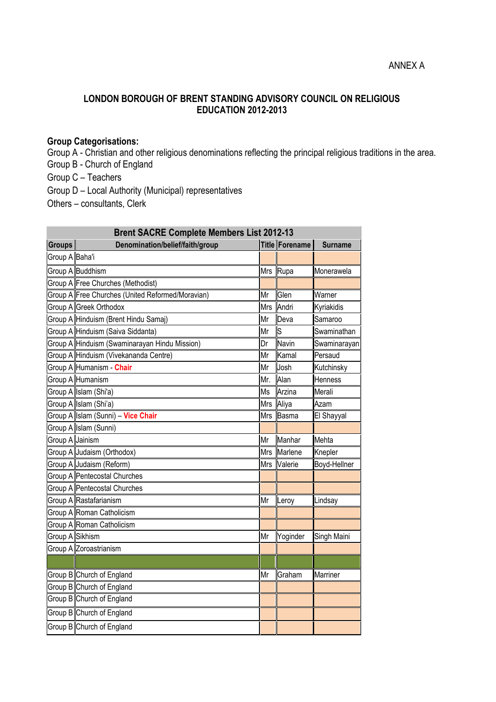# **LONDON BOROUGH OF BRENT STANDING ADVISORY COUNCIL ON RELIGIOUS EDUCATION 2012-2013**

# **Group Categorisations:**

Group A - Christian and other religious denominations reflecting the principal religious traditions in the area.

Group B - Church of England

Group C – Teachers

Group D – Local Authority (Municipal) representatives

Others – consultants, Clerk

| <b>Brent SACRE Complete Members List 2012-13</b> |                                                  |            |                |                 |
|--------------------------------------------------|--------------------------------------------------|------------|----------------|-----------------|
| <b>Groups</b>                                    | Denomination/belief/faith/group                  |            | Title Forename | <b>Surname</b>  |
| Group A Baha'i                                   |                                                  |            |                |                 |
|                                                  | Group A Buddhism                                 | <b>Mrs</b> | Rupa           | Monerawela      |
|                                                  | Group A Free Churches (Methodist)                |            |                |                 |
|                                                  | Group A Free Churches (United Reformed/Moravian) | Mr         | Glen           | Warner          |
|                                                  | Group A Greek Orthodox                           | <b>Mrs</b> | Andri          | Kyriakidis      |
|                                                  | Group A Hinduism (Brent Hindu Samaj)             | Mr         | Deva           | Samaroo         |
|                                                  | Group A Hinduism (Saiva Siddanta)                | Mr         | S              | Swaminathan     |
|                                                  | Group A Hinduism (Swaminarayan Hindu Mission)    | Dr         | Navin          | Swaminarayan    |
|                                                  | Group A Hinduism (Vivekananda Centre)            | Mr         | Kamal          | Persaud         |
|                                                  | Group A Humanism - Chair                         | Mr         | Josh           | Kutchinsky      |
|                                                  | Group A Humanism                                 | Mr.        | Alan           | <b>Henness</b>  |
|                                                  | Group A Islam (Shi'a)                            | Ms         | Arzina         | Merali          |
|                                                  | Group A Islam (Shi'a)                            | <b>Mrs</b> | Aliya          | Azam            |
|                                                  | Group A Islam (Sunni) - Vice Chair               | <b>Mrs</b> | Basma          | El Shayyal      |
|                                                  | Group A Islam (Sunni)                            |            |                |                 |
| Group A Jainism                                  |                                                  | Mr         | Manhar         | Mehta           |
|                                                  | Group A Judaism (Orthodox)                       | <b>Mrs</b> | Marlene        | Knepler         |
|                                                  | Group A Judaism (Reform)                         | <b>Mrs</b> | Valerie        | Boyd-Hellner    |
|                                                  | Group A Pentecostal Churches                     |            |                |                 |
|                                                  | Group A Pentecostal Churches                     |            |                |                 |
|                                                  | Group A Rastafarianism                           | Mr         | Leroy          | Lindsay         |
|                                                  | Group A Roman Catholicism                        |            |                |                 |
|                                                  | Group A Roman Catholicism                        |            |                |                 |
| Group A Sikhism                                  |                                                  | Mr         | Yoginder       | Singh Maini     |
|                                                  | Group A Zoroastrianism                           |            |                |                 |
|                                                  |                                                  |            |                |                 |
|                                                  | Group B Church of England                        | Mr         | Graham         | <b>Marriner</b> |
|                                                  | Group B Church of England                        |            |                |                 |
|                                                  | Group B Church of England                        |            |                |                 |
|                                                  | Group B Church of England                        |            |                |                 |
|                                                  | Group B Church of England                        |            |                |                 |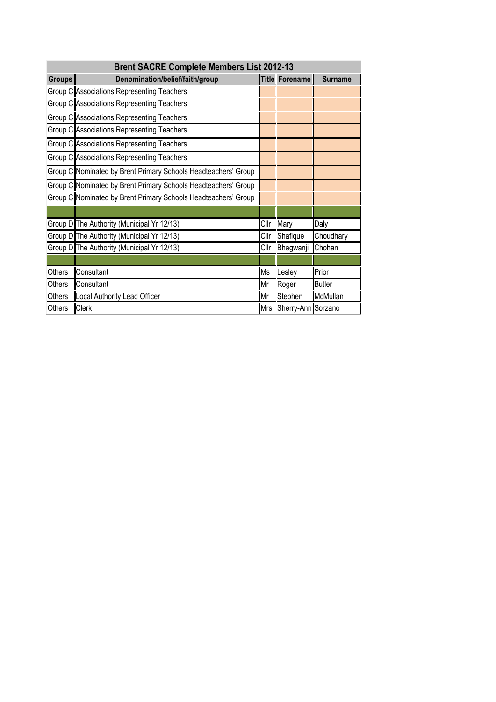| <b>Brent SACRE Complete Members List 2012-13</b> |                                                                |            |                    |                |  |
|--------------------------------------------------|----------------------------------------------------------------|------------|--------------------|----------------|--|
| <b>Groups</b>                                    | Denomination/belief/faith/group                                |            | Title Forename     | <b>Surname</b> |  |
|                                                  | Group C Associations Representing Teachers                     |            |                    |                |  |
|                                                  | Group C Associations Representing Teachers                     |            |                    |                |  |
|                                                  | Group C Associations Representing Teachers                     |            |                    |                |  |
|                                                  | Group C Associations Representing Teachers                     |            |                    |                |  |
|                                                  | Group C Associations Representing Teachers                     |            |                    |                |  |
|                                                  | Group C Associations Representing Teachers                     |            |                    |                |  |
|                                                  | Group C Nominated by Brent Primary Schools Headteachers' Group |            |                    |                |  |
|                                                  | Group C Nominated by Brent Primary Schools Headteachers' Group |            |                    |                |  |
|                                                  | Group C Nominated by Brent Primary Schools Headteachers' Group |            |                    |                |  |
|                                                  |                                                                |            |                    |                |  |
|                                                  | Group D The Authority (Municipal Yr 12/13)                     | Cllr       | Mary               | Daly           |  |
|                                                  | Group D The Authority (Municipal Yr 12/13)                     | Cllr       | Shafique           | Choudhary      |  |
|                                                  | Group D The Authority (Municipal Yr 12/13)                     | Cllr       | Bhagwanji          | Chohan         |  |
|                                                  |                                                                |            |                    |                |  |
| <b>Others</b>                                    | Consultant                                                     | Ms         | Lesley             | Prior          |  |
| Others                                           | Consultant                                                     | Mr         | Roger              | <b>Butler</b>  |  |
| Others                                           | Local Authority Lead Officer                                   | Mr         | Stephen            | McMullan       |  |
| Others                                           | <b>Clerk</b>                                                   | <b>Mrs</b> | Sherry-Ann Sorzano |                |  |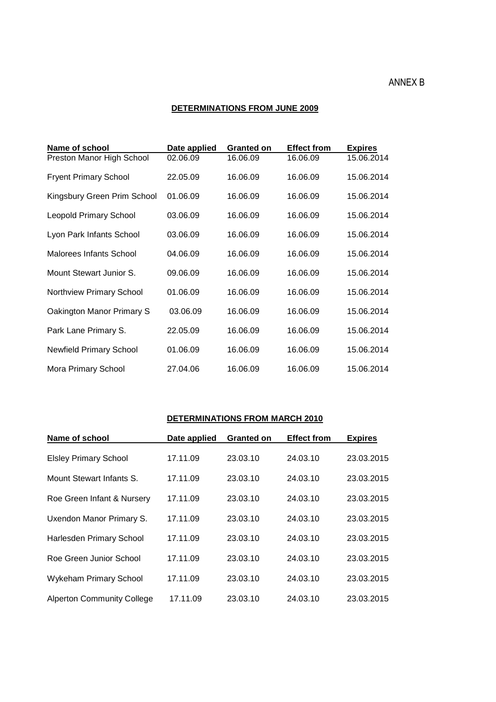## ANNEX B

#### **DETERMINATIONS FROM JUNE 2009**

| Name of school                 | Date applied | <b>Granted on</b> | <b>Effect from</b> | <b>Expires</b> |
|--------------------------------|--------------|-------------------|--------------------|----------------|
| Preston Manor High School      | 02.06.09     | 16.06.09          | 16.06.09           | 15.06.2014     |
| <b>Fryent Primary School</b>   | 22.05.09     | 16.06.09          | 16.06.09           | 15.06.2014     |
| Kingsbury Green Prim School    | 01.06.09     | 16.06.09          | 16.06.09           | 15.06.2014     |
| <b>Leopold Primary School</b>  | 03.06.09     | 16.06.09          | 16.06.09           | 15.06.2014     |
| Lyon Park Infants School       | 03.06.09     | 16.06.09          | 16.06.09           | 15.06.2014     |
| <b>Malorees Infants School</b> | 04.06.09     | 16.06.09          | 16.06.09           | 15.06.2014     |
| Mount Stewart Junior S.        | 09.06.09     | 16.06.09          | 16.06.09           | 15.06.2014     |
| Northview Primary School       | 01.06.09     | 16.06.09          | 16.06.09           | 15.06.2014     |
| Oakington Manor Primary S      | 03.06.09     | 16.06.09          | 16.06.09           | 15.06.2014     |
| Park Lane Primary S.           | 22.05.09     | 16.06.09          | 16.06.09           | 15.06.2014     |
| <b>Newfield Primary School</b> | 01.06.09     | 16.06.09          | 16.06.09           | 15.06.2014     |
| Mora Primary School            | 27.04.06     | 16.06.09          | 16.06.09           | 15.06.2014     |

## **DETERMINATIONS FROM MARCH 2010**

| Name of school                    | Date applied | <b>Granted on</b> | <b>Effect from</b> | <b>Expires</b> |
|-----------------------------------|--------------|-------------------|--------------------|----------------|
| <b>Elsley Primary School</b>      | 17.11.09     | 23.03.10          | 24.03.10           | 23.03.2015     |
| Mount Stewart Infants S.          | 17.11.09     | 23.03.10          | 24.03.10           | 23.03.2015     |
| Roe Green Infant & Nursery        | 17.11.09     | 23.03.10          | 24.03.10           | 23.03.2015     |
| Uxendon Manor Primary S.          | 17.11.09     | 23.03.10          | 24.03.10           | 23.03.2015     |
| <b>Harlesden Primary School</b>   | 17.11.09     | 23.03.10          | 24.03.10           | 23.03.2015     |
| Roe Green Junior School           | 17.11.09     | 23.03.10          | 24.03.10           | 23.03.2015     |
| <b>Wykeham Primary School</b>     | 17.11.09     | 23.03.10          | 24.03.10           | 23.03.2015     |
| <b>Alperton Community College</b> | 17.11.09     | 23.03.10          | 24.03.10           | 23.03.2015     |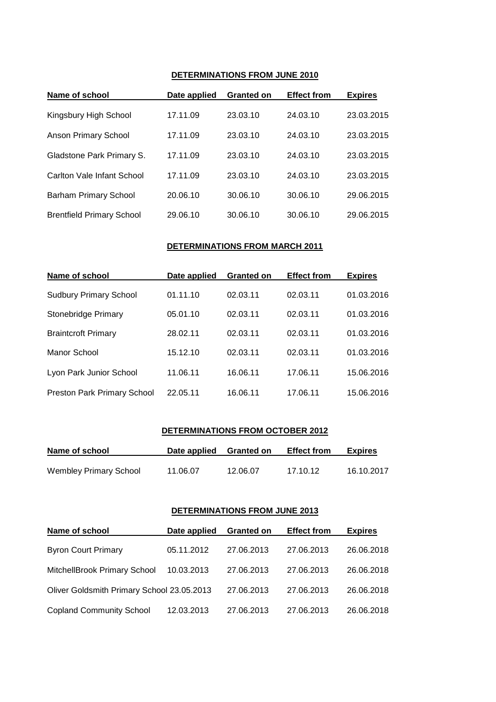#### **DETERMINATIONS FROM JUNE 2010**

| Name of school                   | Date applied | <b>Granted on</b> | <b>Effect from</b> | <b>Expires</b> |
|----------------------------------|--------------|-------------------|--------------------|----------------|
| Kingsbury High School            | 17.11.09     | 23.03.10          | 24.03.10           | 23.03.2015     |
| <b>Anson Primary School</b>      | 17.11.09     | 23.03.10          | 24.03.10           | 23.03.2015     |
| Gladstone Park Primary S.        | 17.11.09     | 23.03.10          | 24.03.10           | 23.03.2015     |
| Carlton Vale Infant School       | 17.11.09     | 23.03.10          | 24.03.10           | 23.03.2015     |
| <b>Barham Primary School</b>     | 20.06.10     | 30.06.10          | 30.06.10           | 29.06.2015     |
| <b>Brentfield Primary School</b> | 29.06.10     | 30.06.10          | 30.06.10           | 29.06.2015     |

#### **DETERMINATIONS FROM MARCH 2011**

| Name of school                | Date applied | <b>Granted on</b> | <b>Effect from</b> | <b>Expires</b> |
|-------------------------------|--------------|-------------------|--------------------|----------------|
| <b>Sudbury Primary School</b> | 01.11.10     | 02.03.11          | 02.03.11           | 01.03.2016     |
| Stonebridge Primary           | 05.01.10     | 02.03.11          | 02.03.11           | 01.03.2016     |
| <b>Braintcroft Primary</b>    | 28.02.11     | 02.03.11          | 02.03.11           | 01.03.2016     |
| Manor School                  | 15.12.10     | 02.03.11          | 02.03.11           | 01.03.2016     |
| Lyon Park Junior School       | 11.06.11     | 16.06.11          | 17.06.11           | 15.06.2016     |
| Preston Park Primary School   | 22.05.11     | 16.06.11          | 17.06.11           | 15.06.2016     |

#### **DETERMINATIONS FROM OCTOBER 2012**

| Name of school                | Date applied | <b>Granted on</b> | <b>Effect from</b> | <b>Expires</b> |
|-------------------------------|--------------|-------------------|--------------------|----------------|
| <b>Wembley Primary School</b> | 11.06.07     | 12.06.07          | 17.10.12           | 16.10.2017     |

#### **DETERMINATIONS FROM JUNE 2013**

| Name of school                             | Date applied | <b>Granted on</b> | <b>Effect from</b> | <b>Expires</b> |
|--------------------------------------------|--------------|-------------------|--------------------|----------------|
| <b>Byron Court Primary</b>                 | 05.11.2012   | 27.06.2013        | 27.06.2013         | 26.06.2018     |
| MitchellBrook Primary School               | 10.03.2013   | 27.06.2013        | 27.06.2013         | 26.06.2018     |
| Oliver Goldsmith Primary School 23.05.2013 |              | 27.06.2013        | 27.06.2013         | 26.06.2018     |
| <b>Copland Community School</b>            | 12.03.2013   | 27.06.2013        | 27.06.2013         | 26.06.2018     |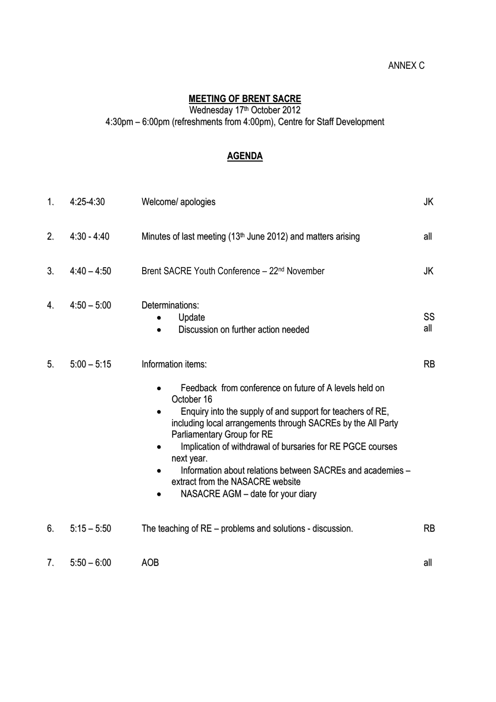# ANNEX C

## **MEETING OF BRENT SACRE**

Wednesday 17 th October 2012

4:30pm – 6:00pm (refreshments from 4:00pm), Centre for Staff Development

# **AGENDA**

| 1. | 4:25-4:30     | Welcome/ apologies                                                                                                                                                                                                                                                                                                                                                                                                                                                        | JK        |
|----|---------------|---------------------------------------------------------------------------------------------------------------------------------------------------------------------------------------------------------------------------------------------------------------------------------------------------------------------------------------------------------------------------------------------------------------------------------------------------------------------------|-----------|
| 2. | $4:30 - 4:40$ | Minutes of last meeting $(13th$ June 2012) and matters arising                                                                                                                                                                                                                                                                                                                                                                                                            | all       |
| 3. | $4:40 - 4:50$ | Brent SACRE Youth Conference - 22 <sup>nd</sup> November                                                                                                                                                                                                                                                                                                                                                                                                                  | JK        |
| 4. | $4:50 - 5:00$ | Determinations:<br>Update<br>Discussion on further action needed                                                                                                                                                                                                                                                                                                                                                                                                          | SS<br>all |
| 5. | $5:00 - 5:15$ | Information items:<br>Feedback from conference on future of A levels held on<br>October 16<br>Enquiry into the supply of and support for teachers of RE,<br>including local arrangements through SACREs by the All Party<br>Parliamentary Group for RE<br>Implication of withdrawal of bursaries for RE PGCE courses<br>next year.<br>Information about relations between SACREs and academies -<br>extract from the NASACRE website<br>NASACRE AGM - date for your diary | <b>RB</b> |
| 6. | $5:15 - 5:50$ | The teaching of RE – problems and solutions - discussion.                                                                                                                                                                                                                                                                                                                                                                                                                 | RB        |
| 7. | $5:50 - 6:00$ | <b>AOB</b>                                                                                                                                                                                                                                                                                                                                                                                                                                                                | all       |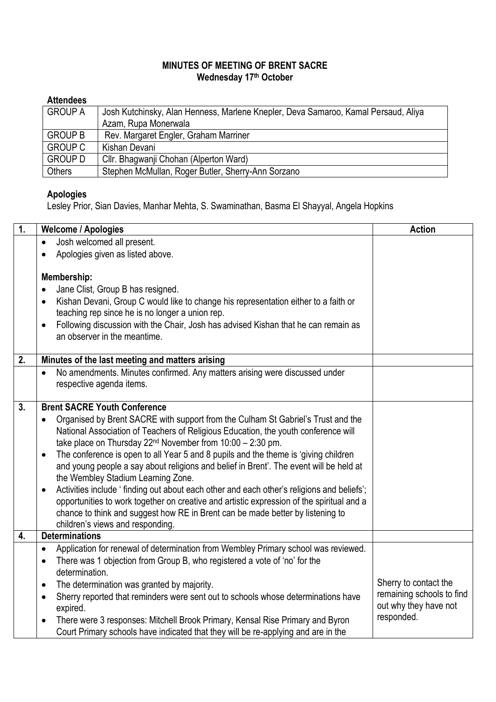# **MINUTES OF MEETING OF BRENT SACRE Wednesday 17th October**

# **Attendees**

| <b>GROUP A</b> | Josh Kutchinsky, Alan Henness, Marlene Knepler, Deva Samaroo, Kamal Persaud, Aliya |
|----------------|------------------------------------------------------------------------------------|
|                | Azam, Rupa Monerwala                                                               |
| <b>GROUP B</b> | Rev. Margaret Engler, Graham Marriner                                              |
| <b>GROUP C</b> | Kishan Devani                                                                      |
| <b>GROUP D</b> | Cllr. Bhagwanji Chohan (Alperton Ward)                                             |
| Others         | Stephen McMullan, Roger Butler, Sherry-Ann Sorzano                                 |

# **Apologies**

Lesley Prior, Sian Davies, Manhar Mehta, S. Swaminathan, Basma El Shayyal, Angela Hopkins

| $\overline{1}$ . | <b>Welcome / Apologies</b>                                                                                                                                                                          | <b>Action</b>             |
|------------------|-----------------------------------------------------------------------------------------------------------------------------------------------------------------------------------------------------|---------------------------|
|                  | Josh welcomed all present.<br>$\bullet$                                                                                                                                                             |                           |
|                  | Apologies given as listed above.<br>$\bullet$                                                                                                                                                       |                           |
|                  |                                                                                                                                                                                                     |                           |
|                  | Membership:                                                                                                                                                                                         |                           |
|                  | Jane Clist, Group B has resigned.<br>$\bullet$                                                                                                                                                      |                           |
|                  | Kishan Devani, Group C would like to change his representation either to a faith or<br>$\bullet$                                                                                                    |                           |
|                  | teaching rep since he is no longer a union rep.                                                                                                                                                     |                           |
|                  | Following discussion with the Chair, Josh has advised Kishan that he can remain as<br>$\bullet$<br>an observer in the meantime.                                                                     |                           |
|                  |                                                                                                                                                                                                     |                           |
| 2.               | Minutes of the last meeting and matters arising                                                                                                                                                     |                           |
|                  | No amendments. Minutes confirmed. Any matters arising were discussed under<br>$\bullet$                                                                                                             |                           |
|                  | respective agenda items.                                                                                                                                                                            |                           |
|                  |                                                                                                                                                                                                     |                           |
| 3 <sub>1</sub>   | <b>Brent SACRE Youth Conference</b>                                                                                                                                                                 |                           |
|                  | Organised by Brent SACRE with support from the Culham St Gabriel's Trust and the<br>$\bullet$                                                                                                       |                           |
|                  | National Association of Teachers of Religious Education, the youth conference will                                                                                                                  |                           |
|                  | take place on Thursday 22 <sup>nd</sup> November from 10:00 - 2:30 pm.                                                                                                                              |                           |
|                  | The conference is open to all Year 5 and 8 pupils and the theme is 'giving children<br>$\bullet$                                                                                                    |                           |
|                  | and young people a say about religions and belief in Brent'. The event will be held at                                                                                                              |                           |
|                  | the Wembley Stadium Learning Zone.                                                                                                                                                                  |                           |
|                  | Activities include 'finding out about each other and each other's religions and beliefs';<br>$\bullet$<br>opportunities to work together on creative and artistic expression of the spiritual and a |                           |
|                  | chance to think and suggest how RE in Brent can be made better by listening to                                                                                                                      |                           |
|                  | children's views and responding.                                                                                                                                                                    |                           |
| 4.               | <b>Determinations</b>                                                                                                                                                                               |                           |
|                  | Application for renewal of determination from Wembley Primary school was reviewed.<br>$\bullet$                                                                                                     |                           |
|                  | There was 1 objection from Group B, who registered a vote of 'no' for the<br>$\bullet$                                                                                                              |                           |
|                  | determination.                                                                                                                                                                                      |                           |
|                  | The determination was granted by majority.<br>$\bullet$                                                                                                                                             | Sherry to contact the     |
|                  | Sherry reported that reminders were sent out to schools whose determinations have<br>$\bullet$                                                                                                      | remaining schools to find |
|                  | expired.                                                                                                                                                                                            | out why they have not     |
|                  | There were 3 responses: Mitchell Brook Primary, Kensal Rise Primary and Byron<br>$\bullet$                                                                                                          | responded.                |
|                  | Court Primary schools have indicated that they will be re-applying and are in the                                                                                                                   |                           |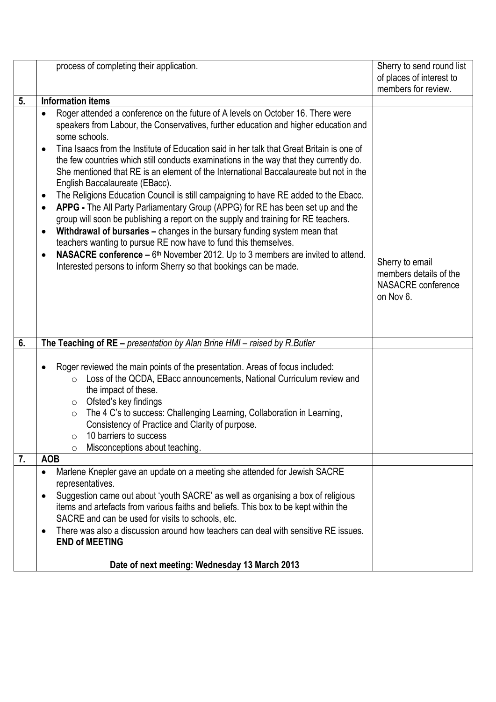|    | process of completing their application.                                                                                                                                                                                                                                                                                                                                                                                                                                                                                                                                                                                                                                                                                                                                                                                                                                                                                                                                                                                                                                                                                                     | Sherry to send round list                                                           |
|----|----------------------------------------------------------------------------------------------------------------------------------------------------------------------------------------------------------------------------------------------------------------------------------------------------------------------------------------------------------------------------------------------------------------------------------------------------------------------------------------------------------------------------------------------------------------------------------------------------------------------------------------------------------------------------------------------------------------------------------------------------------------------------------------------------------------------------------------------------------------------------------------------------------------------------------------------------------------------------------------------------------------------------------------------------------------------------------------------------------------------------------------------|-------------------------------------------------------------------------------------|
|    |                                                                                                                                                                                                                                                                                                                                                                                                                                                                                                                                                                                                                                                                                                                                                                                                                                                                                                                                                                                                                                                                                                                                              | of places of interest to                                                            |
|    |                                                                                                                                                                                                                                                                                                                                                                                                                                                                                                                                                                                                                                                                                                                                                                                                                                                                                                                                                                                                                                                                                                                                              | members for review.                                                                 |
| 5. | <b>Information items</b>                                                                                                                                                                                                                                                                                                                                                                                                                                                                                                                                                                                                                                                                                                                                                                                                                                                                                                                                                                                                                                                                                                                     |                                                                                     |
|    | Roger attended a conference on the future of A levels on October 16. There were<br>speakers from Labour, the Conservatives, further education and higher education and<br>some schools.<br>Tina Isaacs from the Institute of Education said in her talk that Great Britain is one of<br>the few countries which still conducts examinations in the way that they currently do.<br>She mentioned that RE is an element of the International Baccalaureate but not in the<br>English Baccalaureate (EBacc).<br>The Religions Education Council is still campaigning to have RE added to the Ebacc.<br>$\bullet$<br>APPG - The All Party Parliamentary Group (APPG) for RE has been set up and the<br>$\bullet$<br>group will soon be publishing a report on the supply and training for RE teachers.<br>Withdrawal of bursaries - changes in the bursary funding system mean that<br>$\bullet$<br>teachers wanting to pursue RE now have to fund this themselves.<br><b>NASACRE conference –</b> $6th$ November 2012. Up to 3 members are invited to attend.<br>$\bullet$<br>Interested persons to inform Sherry so that bookings can be made. | Sherry to email<br>members details of the<br><b>NASACRE</b> conference<br>on Nov 6. |
| 6. | The Teaching of $RE$ – presentation by Alan Brine HMI – raised by R. Butler                                                                                                                                                                                                                                                                                                                                                                                                                                                                                                                                                                                                                                                                                                                                                                                                                                                                                                                                                                                                                                                                  |                                                                                     |
|    | Roger reviewed the main points of the presentation. Areas of focus included:<br>Loss of the QCDA, EBacc announcements, National Curriculum review and<br>$\circ$<br>the impact of these.<br>Ofsted's key findings<br>$\circ$<br>The 4 C's to success: Challenging Learning, Collaboration in Learning,<br>$\circ$<br>Consistency of Practice and Clarity of purpose.<br>10 barriers to success<br>O<br>Misconceptions about teaching.<br>O                                                                                                                                                                                                                                                                                                                                                                                                                                                                                                                                                                                                                                                                                                   |                                                                                     |
| 7. | <b>AOB</b>                                                                                                                                                                                                                                                                                                                                                                                                                                                                                                                                                                                                                                                                                                                                                                                                                                                                                                                                                                                                                                                                                                                                   |                                                                                     |
|    | Marlene Knepler gave an update on a meeting she attended for Jewish SACRE<br>$\bullet$<br>representatives.<br>Suggestion came out about 'youth SACRE' as well as organising a box of religious<br>$\bullet$<br>items and artefacts from various faiths and beliefs. This box to be kept within the<br>SACRE and can be used for visits to schools, etc.<br>There was also a discussion around how teachers can deal with sensitive RE issues.<br><b>END of MEETING</b><br>Date of next meeting: Wednesday 13 March 2013                                                                                                                                                                                                                                                                                                                                                                                                                                                                                                                                                                                                                      |                                                                                     |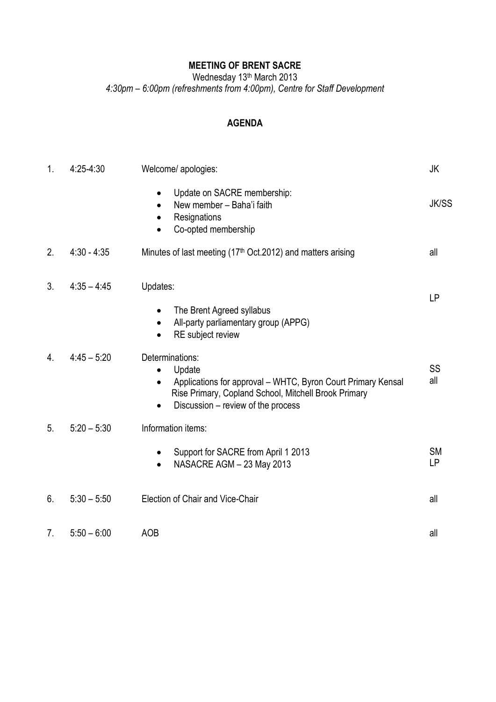# **MEETING OF BRENT SACRE**

Wednesday 13<sup>th</sup> March 2013

*4:30pm – 6:00pm (refreshments from 4:00pm), Centre for Staff Development*

# **AGENDA**

| 1. | 4:25-4:30     | Welcome/ apologies:                                                                                                                                                                                  | JK                     |
|----|---------------|------------------------------------------------------------------------------------------------------------------------------------------------------------------------------------------------------|------------------------|
|    |               | Update on SACRE membership:<br>New member - Baha'i faith<br>Resignations<br>Co-opted membership                                                                                                      | <b>JK/SS</b>           |
| 2. | $4:30 - 4:35$ | Minutes of last meeting (17 <sup>th</sup> Oct.2012) and matters arising                                                                                                                              | all                    |
| 3. | $4:35 - 4:45$ | Updates:<br>The Brent Agreed syllabus<br>$\bullet$<br>All-party parliamentary group (APPG)<br>$\bullet$<br>RE subject review                                                                         | <b>LP</b>              |
| 4. | $4:45 - 5:20$ | Determinations:<br>Update<br>Applications for approval - WHTC, Byron Court Primary Kensal<br>$\bullet$<br>Rise Primary, Copland School, Mitchell Brook Primary<br>Discussion - review of the process | SS<br>all              |
| 5. | $5:20 - 5:30$ | Information items:<br>Support for SACRE from April 1 2013<br>$\bullet$<br>NASACRE AGM - 23 May 2013                                                                                                  | <b>SM</b><br><b>LP</b> |
| 6. | $5:30 - 5:50$ | Election of Chair and Vice-Chair                                                                                                                                                                     | all                    |
| 7. | $5:50 - 6:00$ | <b>AOB</b>                                                                                                                                                                                           | all                    |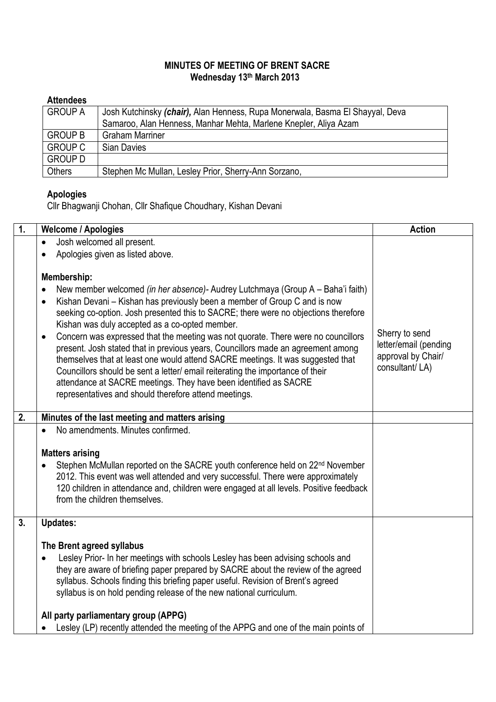# **MINUTES OF MEETING OF BRENT SACRE Wednesday 13th March 2013**

# **Attendees**

| <b>GROUP A</b> | Josh Kutchinsky (chair), Alan Henness, Rupa Monerwala, Basma El Shayyal, Deva |  |
|----------------|-------------------------------------------------------------------------------|--|
|                | Samaroo, Alan Henness, Manhar Mehta, Marlene Knepler, Aliya Azam              |  |
| <b>GROUP B</b> | <b>Graham Marriner</b>                                                        |  |
| <b>GROUP C</b> | Sian Davies                                                                   |  |
| <b>GROUP D</b> |                                                                               |  |
| Others         | Stephen Mc Mullan, Lesley Prior, Sherry-Ann Sorzano,                          |  |

# **Apologies**

Cllr Bhagwanji Chohan, Cllr Shafique Choudhary, Kishan Devani

| $\overline{1}$ . | <b>Welcome / Apologies</b>                                                                                                                                                                                                                                                                                                                                                                                                                                                                                                                                                                                                                                                                                                                                                                                                             | <b>Action</b>                                                                   |
|------------------|----------------------------------------------------------------------------------------------------------------------------------------------------------------------------------------------------------------------------------------------------------------------------------------------------------------------------------------------------------------------------------------------------------------------------------------------------------------------------------------------------------------------------------------------------------------------------------------------------------------------------------------------------------------------------------------------------------------------------------------------------------------------------------------------------------------------------------------|---------------------------------------------------------------------------------|
|                  | Josh welcomed all present.<br>$\bullet$                                                                                                                                                                                                                                                                                                                                                                                                                                                                                                                                                                                                                                                                                                                                                                                                |                                                                                 |
|                  | Apologies given as listed above.                                                                                                                                                                                                                                                                                                                                                                                                                                                                                                                                                                                                                                                                                                                                                                                                       |                                                                                 |
|                  | Membership:<br>New member welcomed (in her absence)- Audrey Lutchmaya (Group A - Baha'i faith)<br>$\bullet$<br>Kishan Devani - Kishan has previously been a member of Group C and is now<br>$\bullet$<br>seeking co-option. Josh presented this to SACRE; there were no objections therefore<br>Kishan was duly accepted as a co-opted member.<br>Concern was expressed that the meeting was not quorate. There were no councillors<br>$\bullet$<br>present. Josh stated that in previous years, Councillors made an agreement among<br>themselves that at least one would attend SACRE meetings. It was suggested that<br>Councillors should be sent a letter/ email reiterating the importance of their<br>attendance at SACRE meetings. They have been identified as SACRE<br>representatives and should therefore attend meetings. | Sherry to send<br>letter/email (pending<br>approval by Chair/<br>consultant/LA) |
|                  |                                                                                                                                                                                                                                                                                                                                                                                                                                                                                                                                                                                                                                                                                                                                                                                                                                        |                                                                                 |
| 2.               | Minutes of the last meeting and matters arising                                                                                                                                                                                                                                                                                                                                                                                                                                                                                                                                                                                                                                                                                                                                                                                        |                                                                                 |
|                  | No amendments. Minutes confirmed.<br>$\bullet$                                                                                                                                                                                                                                                                                                                                                                                                                                                                                                                                                                                                                                                                                                                                                                                         |                                                                                 |
|                  | <b>Matters arising</b><br>Stephen McMullan reported on the SACRE youth conference held on 22 <sup>nd</sup> November<br>2012. This event was well attended and very successful. There were approximately<br>120 children in attendance and, children were engaged at all levels. Positive feedback<br>from the children themselves.                                                                                                                                                                                                                                                                                                                                                                                                                                                                                                     |                                                                                 |
| 3.               | <b>Updates:</b>                                                                                                                                                                                                                                                                                                                                                                                                                                                                                                                                                                                                                                                                                                                                                                                                                        |                                                                                 |
|                  | The Brent agreed syllabus<br>Lesley Prior- In her meetings with schools Lesley has been advising schools and<br>they are aware of briefing paper prepared by SACRE about the review of the agreed<br>syllabus. Schools finding this briefing paper useful. Revision of Brent's agreed<br>syllabus is on hold pending release of the new national curriculum.<br>All party parliamentary group (APPG)                                                                                                                                                                                                                                                                                                                                                                                                                                   |                                                                                 |
|                  | Lesley (LP) recently attended the meeting of the APPG and one of the main points of                                                                                                                                                                                                                                                                                                                                                                                                                                                                                                                                                                                                                                                                                                                                                    |                                                                                 |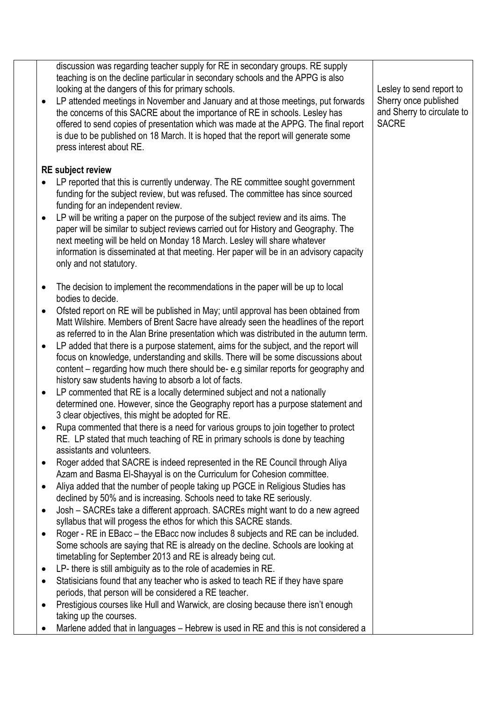|           | discussion was regarding teacher supply for RE in secondary groups. RE supply<br>teaching is on the decline particular in secondary schools and the APPG is also |                            |
|-----------|------------------------------------------------------------------------------------------------------------------------------------------------------------------|----------------------------|
|           | looking at the dangers of this for primary schools.                                                                                                              | Lesley to send report to   |
| $\bullet$ | LP attended meetings in November and January and at those meetings, put forwards                                                                                 | Sherry once published      |
|           | the concerns of this SACRE about the importance of RE in schools. Lesley has                                                                                     | and Sherry to circulate to |
|           | offered to send copies of presentation which was made at the APPG. The final report                                                                              | <b>SACRE</b>               |
|           | is due to be published on 18 March. It is hoped that the report will generate some                                                                               |                            |
|           | press interest about RE.                                                                                                                                         |                            |
|           | <b>RE</b> subject review                                                                                                                                         |                            |
| $\bullet$ | LP reported that this is currently underway. The RE committee sought government                                                                                  |                            |
|           | funding for the subject review, but was refused. The committee has since sourced                                                                                 |                            |
|           | funding for an independent review.                                                                                                                               |                            |
| $\bullet$ | LP will be writing a paper on the purpose of the subject review and its aims. The                                                                                |                            |
|           | paper will be similar to subject reviews carried out for History and Geography. The                                                                              |                            |
|           | next meeting will be held on Monday 18 March. Lesley will share whatever                                                                                         |                            |
|           | information is disseminated at that meeting. Her paper will be in an advisory capacity                                                                           |                            |
|           | only and not statutory.                                                                                                                                          |                            |
|           |                                                                                                                                                                  |                            |
| $\bullet$ | The decision to implement the recommendations in the paper will be up to local                                                                                   |                            |
|           | bodies to decide.                                                                                                                                                |                            |
| $\bullet$ | Ofsted report on RE will be published in May; until approval has been obtained from                                                                              |                            |
|           | Matt Wilshire. Members of Brent Sacre have already seen the headlines of the report                                                                              |                            |
|           | as referred to in the Alan Brine presentation which was distributed in the autumn term.                                                                          |                            |
| $\bullet$ | LP added that there is a purpose statement, aims for the subject, and the report will                                                                            |                            |
|           | focus on knowledge, understanding and skills. There will be some discussions about                                                                               |                            |
|           | content – regarding how much there should be-e.g similar reports for geography and                                                                               |                            |
|           | history saw students having to absorb a lot of facts.                                                                                                            |                            |
| $\bullet$ | LP commented that RE is a locally determined subject and not a nationally                                                                                        |                            |
|           | determined one. However, since the Geography report has a purpose statement and                                                                                  |                            |
|           | 3 clear objectives, this might be adopted for RE.                                                                                                                |                            |
| $\bullet$ | Rupa commented that there is a need for various groups to join together to protect                                                                               |                            |
|           | RE. LP stated that much teaching of RE in primary schools is done by teaching                                                                                    |                            |
|           | assistants and volunteers.                                                                                                                                       |                            |
| $\bullet$ | Roger added that SACRE is indeed represented in the RE Council through Aliya                                                                                     |                            |
|           | Azam and Basma El-Shayyal is on the Curriculum for Cohesion committee.                                                                                           |                            |
| $\bullet$ | Aliya added that the number of people taking up PGCE in Religious Studies has                                                                                    |                            |
|           | declined by 50% and is increasing. Schools need to take RE seriously.                                                                                            |                            |
| $\bullet$ | Josh - SACREs take a different approach. SACREs might want to do a new agreed                                                                                    |                            |
|           | syllabus that will progess the ethos for which this SACRE stands.<br>Roger - RE in EBacc – the EBacc now includes 8 subjects and RE can be included.             |                            |
| $\bullet$ | Some schools are saying that RE is already on the decline. Schools are looking at                                                                                |                            |
|           | timetabling for September 2013 and RE is already being cut.                                                                                                      |                            |
| $\bullet$ | LP- there is still ambiguity as to the role of academies in RE.                                                                                                  |                            |
| $\bullet$ | Statisicians found that any teacher who is asked to teach RE if they have spare                                                                                  |                            |
|           | periods, that person will be considered a RE teacher.                                                                                                            |                            |
| $\bullet$ | Prestigious courses like Hull and Warwick, are closing because there isn't enough                                                                                |                            |
|           | taking up the courses.                                                                                                                                           |                            |
| $\bullet$ |                                                                                                                                                                  |                            |
|           | Marlene added that in languages - Hebrew is used in RE and this is not considered a                                                                              |                            |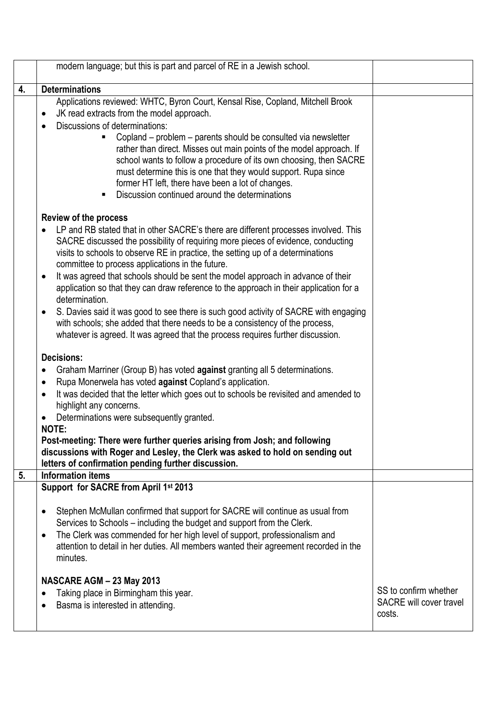|    | modern language; but this is part and parcel of RE in a Jewish school.                                                                                                                                                                                                                                                                                                                                                                                                                                                                                                                                                                                                                                                                                                                                                              |                                                            |
|----|-------------------------------------------------------------------------------------------------------------------------------------------------------------------------------------------------------------------------------------------------------------------------------------------------------------------------------------------------------------------------------------------------------------------------------------------------------------------------------------------------------------------------------------------------------------------------------------------------------------------------------------------------------------------------------------------------------------------------------------------------------------------------------------------------------------------------------------|------------------------------------------------------------|
| 4. | <b>Determinations</b>                                                                                                                                                                                                                                                                                                                                                                                                                                                                                                                                                                                                                                                                                                                                                                                                               |                                                            |
|    | Applications reviewed: WHTC, Byron Court, Kensal Rise, Copland, Mitchell Brook<br>JK read extracts from the model approach.<br>$\bullet$<br>Discussions of determinations:<br>Copland – problem – parents should be consulted via newsletter<br>rather than direct. Misses out main points of the model approach. If<br>school wants to follow a procedure of its own choosing, then SACRE<br>must determine this is one that they would support. Rupa since<br>former HT left, there have been a lot of changes.<br>Discussion continued around the determinations                                                                                                                                                                                                                                                                 |                                                            |
|    | <b>Review of the process</b><br>LP and RB stated that in other SACRE's there are different processes involved. This<br>SACRE discussed the possibility of requiring more pieces of evidence, conducting<br>visits to schools to observe RE in practice, the setting up of a determinations<br>committee to process applications in the future.<br>It was agreed that schools should be sent the model approach in advance of their<br>$\bullet$<br>application so that they can draw reference to the approach in their application for a<br>determination.<br>S. Davies said it was good to see there is such good activity of SACRE with engaging<br>$\bullet$<br>with schools; she added that there needs to be a consistency of the process,<br>whatever is agreed. It was agreed that the process requires further discussion. |                                                            |
|    | <b>Decisions:</b><br>Graham Marriner (Group B) has voted against granting all 5 determinations.<br>$\bullet$<br>Rupa Monerwela has voted against Copland's application.<br>$\bullet$<br>It was decided that the letter which goes out to schools be revisited and amended to<br>$\bullet$<br>highlight any concerns.<br>Determinations were subsequently granted.<br>$\bullet$<br><b>NOTE:</b><br>Post-meeting: There were further queries arising from Josh; and following<br>discussions with Roger and Lesley, the Clerk was asked to hold on sending out<br>letters of confirmation pending further discussion.                                                                                                                                                                                                                 |                                                            |
| 5. | <b>Information items</b>                                                                                                                                                                                                                                                                                                                                                                                                                                                                                                                                                                                                                                                                                                                                                                                                            |                                                            |
|    | Support for SACRE from April 1st 2013<br>Stephen McMullan confirmed that support for SACRE will continue as usual from<br>Services to Schools – including the budget and support from the Clerk.<br>The Clerk was commended for her high level of support, professionalism and<br>$\bullet$<br>attention to detail in her duties. All members wanted their agreement recorded in the<br>minutes.<br>NASCARE AGM - 23 May 2013<br>Taking place in Birmingham this year.<br>Basma is interested in attending.<br>$\bullet$                                                                                                                                                                                                                                                                                                            | SS to confirm whether<br>SACRE will cover travel<br>costs. |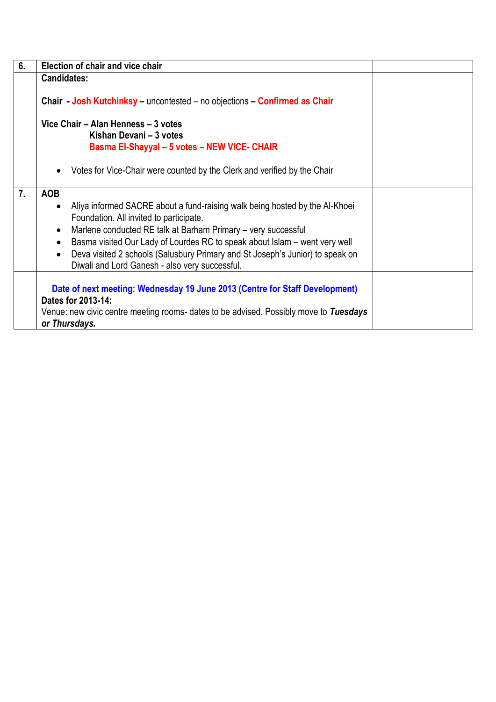| 6. | Election of chair and vice chair                                                                                                                                                                                                                                                                                                                                                                                                                                           |
|----|----------------------------------------------------------------------------------------------------------------------------------------------------------------------------------------------------------------------------------------------------------------------------------------------------------------------------------------------------------------------------------------------------------------------------------------------------------------------------|
|    | <b>Candidates:</b>                                                                                                                                                                                                                                                                                                                                                                                                                                                         |
|    | Chair - Josh Kutchinksy - uncontested - no objections - Confirmed as Chair                                                                                                                                                                                                                                                                                                                                                                                                 |
|    | Vice Chair - Alan Henness - 3 votes<br>Kishan Devani - 3 votes<br>Basma El-Shayyal - 5 votes - NEW VICE- CHAIR                                                                                                                                                                                                                                                                                                                                                             |
|    | Votes for Vice-Chair were counted by the Clerk and verified by the Chair<br>$\bullet$                                                                                                                                                                                                                                                                                                                                                                                      |
| 7. | <b>AOB</b><br>Aliya informed SACRE about a fund-raising walk being hosted by the Al-Khoei<br>$\bullet$<br>Foundation. All invited to participate.<br>Marlene conducted RE talk at Barham Primary – very successful<br>$\bullet$<br>Basma visited Our Lady of Lourdes RC to speak about Islam – went very well<br>$\bullet$<br>Deva visited 2 schools (Salusbury Primary and St Joseph's Junior) to speak on<br>$\bullet$<br>Diwali and Lord Ganesh - also very successful. |
|    | Date of next meeting: Wednesday 19 June 2013 (Centre for Staff Development)<br>Dates for 2013-14:<br>Venue: new civic centre meeting rooms- dates to be advised. Possibly move to Tuesdays<br>or Thursdays.                                                                                                                                                                                                                                                                |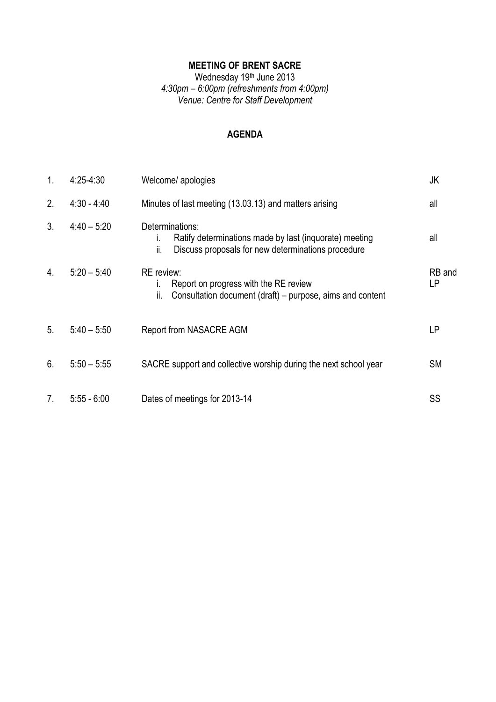# **MEETING OF BRENT SACRE**

#### Wednesday 19<sup>th</sup> June 2013 *4:30pm – 6:00pm (refreshments from 4:00pm) Venue: Centre for Staff Development*

#### **AGENDA**

| 1.               | $4:25-4:30$   | Welcome/ apologies                                                                                                                           | JK           |
|------------------|---------------|----------------------------------------------------------------------------------------------------------------------------------------------|--------------|
| 2.               | $4:30 - 4:40$ | Minutes of last meeting (13.03.13) and matters arising                                                                                       | all          |
| 3 <sub>1</sub>   | $4:40 - 5:20$ | Determinations:<br>Ratify determinations made by last (inquorate) meeting<br>İ.<br>Discuss proposals for new determinations procedure<br>ii. | all          |
| $\overline{4}$ . | $5:20 - 5:40$ | <b>RE</b> review:<br>Report on progress with the RE review<br>ı.<br>Consultation document (draft) – purpose, aims and content<br>ii.         | RB and<br>LP |
| 5 <sub>1</sub>   | $5:40 - 5:50$ | Report from NASACRE AGM                                                                                                                      | <b>LP</b>    |
| 6.               | $5:50 - 5:55$ | SACRE support and collective worship during the next school year                                                                             | <b>SM</b>    |
| 7 <sub>1</sub>   | $5:55 - 6:00$ | Dates of meetings for 2013-14                                                                                                                | SS           |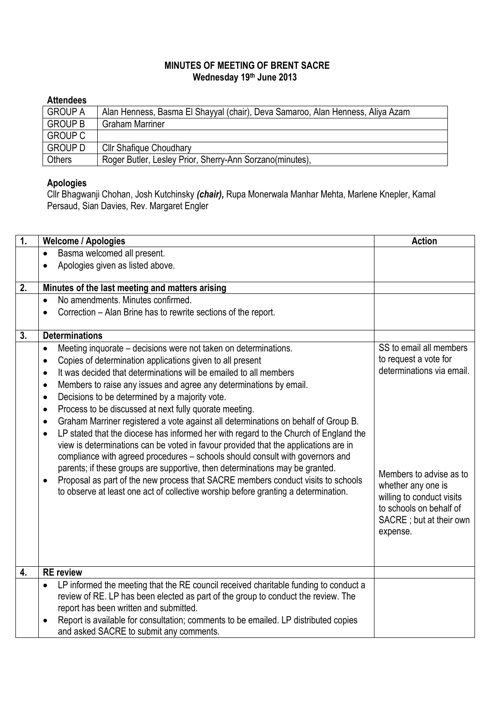## **MINUTES OF MEETING OF BRENT SACRE Wednesday 19th June 2013**

# **Attendees**

| <b>GROUP A</b> | Alan Henness, Basma El Shayyal (chair), Deva Samaroo, Alan Henness, Aliya Azam |
|----------------|--------------------------------------------------------------------------------|
| <b>GROUP B</b> | <b>Graham Marriner</b>                                                         |
| <b>GROUP C</b> |                                                                                |
| <b>GROUP D</b> | <b>Cllr Shafique Choudhary</b>                                                 |
| <b>Others</b>  | Roger Butler, Lesley Prior, Sherry-Ann Sorzano(minutes),                       |

# **Apologies**

Cllr Bhagwanji Chohan, Josh Kutchinsky *(chair),* Rupa Monerwala Manhar Mehta, Marlene Knepler, Kamal Persaud, Sian Davies, Rev. Margaret Engler

| 1. | <b>Welcome / Apologies</b>                                                                        | <b>Action</b>             |
|----|---------------------------------------------------------------------------------------------------|---------------------------|
|    | Basma welcomed all present.                                                                       |                           |
|    | Apologies given as listed above.                                                                  |                           |
| 2. | Minutes of the last meeting and matters arising                                                   |                           |
|    | No amendments. Minutes confirmed.<br>$\bullet$                                                    |                           |
|    | Correction - Alan Brine has to rewrite sections of the report.                                    |                           |
| 3. | <b>Determinations</b>                                                                             |                           |
|    | Meeting inquorate – decisions were not taken on determinations.<br>$\bullet$                      | SS to email all members   |
|    | Copies of determination applications given to all present<br>$\bullet$                            | to request a vote for     |
|    | It was decided that determinations will be emailed to all members<br>$\bullet$                    | determinations via email. |
|    | Members to raise any issues and agree any determinations by email.<br>$\bullet$                   |                           |
|    | Decisions to be determined by a majority vote.<br>$\bullet$                                       |                           |
|    | Process to be discussed at next fully quorate meeting.<br>$\bullet$                               |                           |
|    | Graham Marriner registered a vote against all determinations on behalf of Group B.<br>$\bullet$   |                           |
|    | LP stated that the diocese has informed her with regard to the Church of England the<br>$\bullet$ |                           |
|    | view is determinations can be voted in favour provided that the applications are in               |                           |
|    | compliance with agreed procedures - schools should consult with governors and                     |                           |
|    | parents; if these groups are supportive, then determinations may be granted.                      | Members to advise as to   |
|    | Proposal as part of the new process that SACRE members conduct visits to schools<br>$\bullet$     | whether any one is        |
|    | to observe at least one act of collective worship before granting a determination.                | willing to conduct visits |
|    |                                                                                                   | to schools on behalf of   |
|    |                                                                                                   | SACRE; but at their own   |
|    |                                                                                                   | expense.                  |
|    |                                                                                                   |                           |
|    |                                                                                                   |                           |
| 4. | <b>RE</b> review                                                                                  |                           |
|    | LP informed the meeting that the RE council received charitable funding to conduct a<br>$\bullet$ |                           |
|    | review of RE. LP has been elected as part of the group to conduct the review. The                 |                           |
|    | report has been written and submitted.                                                            |                           |
|    | Report is available for consultation; comments to be emailed. LP distributed copies<br>$\bullet$  |                           |
|    | and asked SACRE to submit any comments.                                                           |                           |